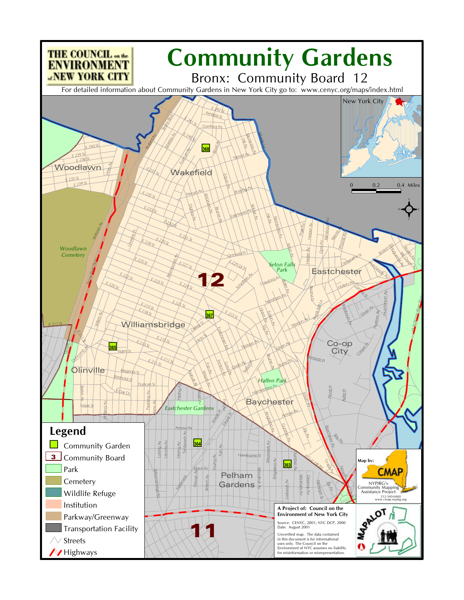